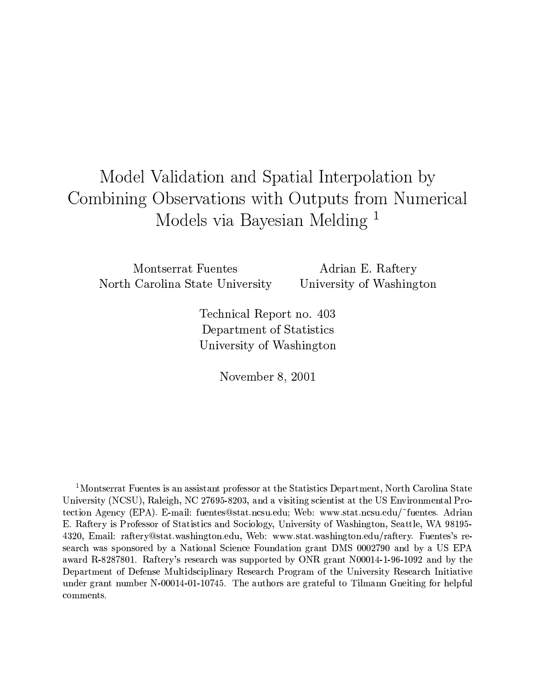# Model Validation and Spatial Interpolation by Combining Observations with Outputs from Numerical Models via Bayesian Melding<sup>1</sup>

Montserrat Fuentes North Carolina State University

Adrian E. Raftery University of Washington

Technical Report no. 403 Department of Statistics University of Washington

November 8, 2001

<sup>1</sup>Montserrat Fuentes is an assistant professor at the Statistics Department, North Carolina State University (NCSU), Raleigh, NC 27695-8203, and a visiting scientist at the US Environmental Protection Agency (EPA). E-mail: fuentes@stat.ncsu.edu; Web: www.stat.ncsu.edu/~fuentes. Adrian E. Raftery is Professor of Statistics and Sociology, University of Washington, Seattle, WA 98195-4320, Email: raftery@stat.washington.edu, Web: www.stat.washington.edu/raftery. Fuentes's research was sponsored by a National Science Foundation grant DMS 0002790 and by a US EPA award R-8287801. Raftery's research was supported by ONR grant N00014-1-96-1092 and by the Department of Defense Multidsciplinary Research Program of the University Research Initiative under grant number N-00014-01-10745. The authors are grateful to Tilmann Gneiting for helpful comments.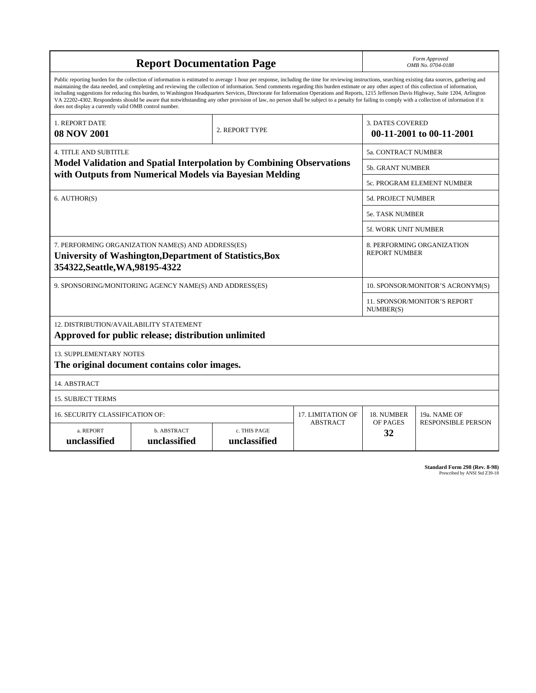| <b>Report Documentation Page</b>                                                                                                                                                                                                                                                                                                                                                                                                                                                                                                                                                                                                                                                                                                                                                                                                                                   |                             |                                                                                                                                 |                 | Form Approved<br>OMB No. 0704-0188                 |                           |  |
|--------------------------------------------------------------------------------------------------------------------------------------------------------------------------------------------------------------------------------------------------------------------------------------------------------------------------------------------------------------------------------------------------------------------------------------------------------------------------------------------------------------------------------------------------------------------------------------------------------------------------------------------------------------------------------------------------------------------------------------------------------------------------------------------------------------------------------------------------------------------|-----------------------------|---------------------------------------------------------------------------------------------------------------------------------|-----------------|----------------------------------------------------|---------------------------|--|
| Public reporting burden for the collection of information is estimated to average 1 hour per response, including the time for reviewing instructions, searching existing data sources, gathering and<br>maintaining the data needed, and completing and reviewing the collection of information. Send comments regarding this burden estimate or any other aspect of this collection of information,<br>including suggestions for reducing this burden, to Washington Headquarters Services, Directorate for Information Operations and Reports, 1215 Jefferson Davis Highway, Suite 1204, Arlington<br>VA 22202-4302. Respondents should be aware that notwithstanding any other provision of law, no person shall be subject to a penalty for failing to comply with a collection of information if it<br>does not display a currently valid OMB control number. |                             |                                                                                                                                 |                 |                                                    |                           |  |
| <b>1. REPORT DATE</b><br><b>08 NOV 2001</b>                                                                                                                                                                                                                                                                                                                                                                                                                                                                                                                                                                                                                                                                                                                                                                                                                        |                             | <b>3. DATES COVERED</b><br>00-11-2001 to 00-11-2001                                                                             |                 |                                                    |                           |  |
| <b>4. TITLE AND SUBTITLE</b>                                                                                                                                                                                                                                                                                                                                                                                                                                                                                                                                                                                                                                                                                                                                                                                                                                       |                             |                                                                                                                                 |                 | <b>5a. CONTRACT NUMBER</b>                         |                           |  |
|                                                                                                                                                                                                                                                                                                                                                                                                                                                                                                                                                                                                                                                                                                                                                                                                                                                                    |                             | Model Validation and Spatial Interpolation by Combining Observations<br>with Outputs from Numerical Models via Bayesian Melding |                 | 5b. GRANT NUMBER                                   |                           |  |
|                                                                                                                                                                                                                                                                                                                                                                                                                                                                                                                                                                                                                                                                                                                                                                                                                                                                    |                             |                                                                                                                                 |                 | 5c. PROGRAM ELEMENT NUMBER                         |                           |  |
| 6. AUTHOR(S)                                                                                                                                                                                                                                                                                                                                                                                                                                                                                                                                                                                                                                                                                                                                                                                                                                                       |                             |                                                                                                                                 |                 | 5d. PROJECT NUMBER                                 |                           |  |
|                                                                                                                                                                                                                                                                                                                                                                                                                                                                                                                                                                                                                                                                                                                                                                                                                                                                    |                             |                                                                                                                                 |                 | <b>5e. TASK NUMBER</b>                             |                           |  |
|                                                                                                                                                                                                                                                                                                                                                                                                                                                                                                                                                                                                                                                                                                                                                                                                                                                                    |                             |                                                                                                                                 |                 | <b>5f. WORK UNIT NUMBER</b>                        |                           |  |
| 7. PERFORMING ORGANIZATION NAME(S) AND ADDRESS(ES)<br>University of Washington, Department of Statistics, Box<br>354322, Seattle, WA, 98195-4322                                                                                                                                                                                                                                                                                                                                                                                                                                                                                                                                                                                                                                                                                                                   |                             |                                                                                                                                 |                 | 8. PERFORMING ORGANIZATION<br><b>REPORT NUMBER</b> |                           |  |
| 9. SPONSORING/MONITORING AGENCY NAME(S) AND ADDRESS(ES)                                                                                                                                                                                                                                                                                                                                                                                                                                                                                                                                                                                                                                                                                                                                                                                                            |                             |                                                                                                                                 |                 | 10. SPONSOR/MONITOR'S ACRONYM(S)                   |                           |  |
|                                                                                                                                                                                                                                                                                                                                                                                                                                                                                                                                                                                                                                                                                                                                                                                                                                                                    |                             |                                                                                                                                 |                 | <b>11. SPONSOR/MONITOR'S REPORT</b><br>NUMBER(S)   |                           |  |
| 12. DISTRIBUTION/AVAILABILITY STATEMENT<br>Approved for public release; distribution unlimited                                                                                                                                                                                                                                                                                                                                                                                                                                                                                                                                                                                                                                                                                                                                                                     |                             |                                                                                                                                 |                 |                                                    |                           |  |
| <b>13. SUPPLEMENTARY NOTES</b><br>The original document contains color images.                                                                                                                                                                                                                                                                                                                                                                                                                                                                                                                                                                                                                                                                                                                                                                                     |                             |                                                                                                                                 |                 |                                                    |                           |  |
| 14. ABSTRACT                                                                                                                                                                                                                                                                                                                                                                                                                                                                                                                                                                                                                                                                                                                                                                                                                                                       |                             |                                                                                                                                 |                 |                                                    |                           |  |
| <b>15. SUBJECT TERMS</b>                                                                                                                                                                                                                                                                                                                                                                                                                                                                                                                                                                                                                                                                                                                                                                                                                                           |                             |                                                                                                                                 |                 |                                                    |                           |  |
| 16. SECURITY CLASSIFICATION OF:                                                                                                                                                                                                                                                                                                                                                                                                                                                                                                                                                                                                                                                                                                                                                                                                                                    | <b>17. LIMITATION OF</b>    | 18. NUMBER                                                                                                                      | 19a. NAME OF    |                                                    |                           |  |
| a. REPORT<br>unclassified                                                                                                                                                                                                                                                                                                                                                                                                                                                                                                                                                                                                                                                                                                                                                                                                                                          | b. ABSTRACT<br>unclassified | c. THIS PAGE<br>unclassified                                                                                                    | <b>ABSTRACT</b> | OF PAGES<br>32                                     | <b>RESPONSIBLE PERSON</b> |  |

| <b>Standard Form 298 (Rev. 8-98)</b> |                               |  |  |
|--------------------------------------|-------------------------------|--|--|
|                                      | Prescribed by ANSI Std Z39-18 |  |  |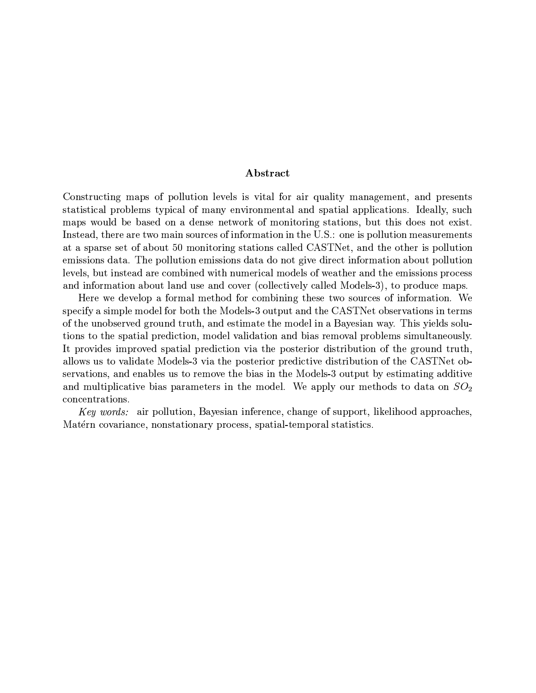## Abstract

Constructing maps of pollution levels is vital for air quality management, and presents statistical problems typical of many environmental and spatial applications. Ideally, such maps would be based on a dense network of monitoring stations, but this does not exist. Instead, there are two main sources of information in the U.S.: one is pollution measurements at a sparse set of about 50 monitoring stations called CASTNet, and the other is pollution emissions data. The pollution emissions data do not give direct information about pollution levels, but instead are combined with numerical models of weather and the emissions process and information about land use and cover (collectively called Models-3), to produce maps.

Here we develop a formal method for combining these two sources of information. We specify a simple model for both the Models-3 output and the CASTNet observations in terms of the unobserved ground truth, and estimate the model in a Bayesian way. This yields solutions to the spatial prediction, model validation and bias removal problems simultaneously. It provides improved spatial prediction via the posterior distribution of the ground truth. allows us to validate Models-3 via the posterior predictive distribution of the CASTNet observations, and enables us to remove the bias in the Models-3 output by estimating additive and multiplicative bias parameters in the model. We apply our methods to data on  $SO_2$ concentrations.

Key words: air pollution, Bayesian inference, change of support, likelihood approaches, Matérn covariance, nonstationary process, spatial-temporal statistics.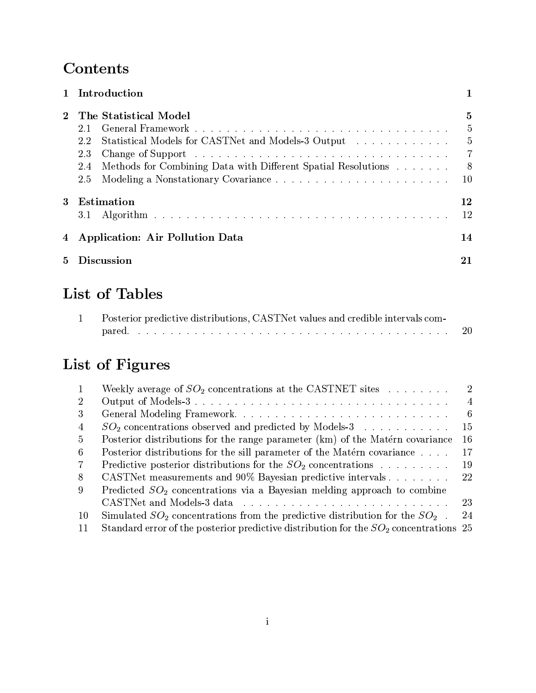# Contents

|    | 1 Introduction                                                       |     |
|----|----------------------------------------------------------------------|-----|
|    | The Statistical Model                                                | 5   |
|    | 2.1                                                                  | -5  |
|    | Statistical Models for CASTNet and Models-3 Output<br>2.2            | -5  |
|    | 2.3                                                                  | -7  |
|    | Methods for Combining Data with Different Spatial Resolutions<br>2.4 | - 8 |
|    | 2.5                                                                  | 10  |
| 3  | Estimation                                                           | 12  |
|    | 3.1                                                                  | 12  |
|    | 4 Application: Air Pollution Data                                    | 14  |
| 5. | Discussion                                                           | 21  |

# List of Tables

| Posterior predictive distributions, CASTNet values and credible intervals com- |    |  |  |  |  |  |
|--------------------------------------------------------------------------------|----|--|--|--|--|--|
|                                                                                | 20 |  |  |  |  |  |

# List of Figures

|                | Weekly average of $SO_2$ concentrations at the CASTNET sites                                                   | -2             |
|----------------|----------------------------------------------------------------------------------------------------------------|----------------|
| 2              |                                                                                                                | $\overline{4}$ |
| 3              |                                                                                                                | -6             |
| $\overline{4}$ | $SO_2$ concentrations observed and predicted by Models-3                                                       | 15             |
| 5.             | Posterior distributions for the range parameter (km) of the Matérn covariance                                  | 16             |
| 6              | Posterior distributions for the sill parameter of the Matérn covariance                                        | 17             |
| 7              | Predictive posterior distributions for the $SO_2$ concentrations                                               | 19             |
| 8              | CASTNet measurements and 90% Bayesian predictive intervals                                                     | 22             |
| 9              | Predicted $SO_2$ concentrations via a Bayesian melding approach to combine                                     |                |
|                | CASTNet and Models-3 data response to response the contract of the contract of the contract of the contract of | 23             |
| 10             | Simulated $SO_2$ concentrations from the predictive distribution for the $SO_2$ .                              | 24             |
| 11             | Standard error of the posterior predictive distribution for the $SO_2$ concentrations 25                       |                |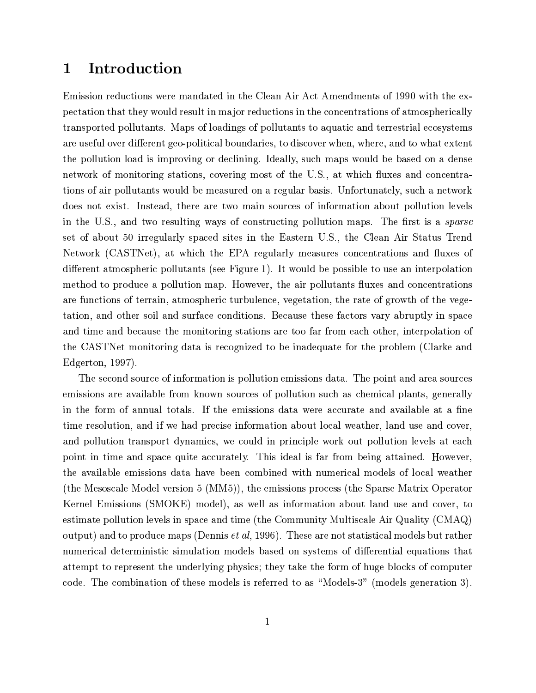### Introduction 1

Emission reductions were mandated in the Clean Air Act Amendments of 1990 with the expectation that they would result in major reductions in the concentrations of atmospherically transported pollutants. Maps of loadings of pollutants to aquatic and terrestrial ecosystems are useful over different geo-political boundaries, to discover when, where, and to what extent the pollution load is improving or declining. Ideally, such maps would be based on a dense network of monitoring stations, covering most of the U.S., at which fluxes and concentrations of air pollutants would be measured on a regular basis. Unfortunately, such a network does not exist. Instead, there are two main sources of information about pollution levels in the U.S., and two resulting ways of constructing pollution maps. The first is a *sparse* set of about 50 irregularly spaced sites in the Eastern U.S., the Clean Air Status Trend Network (CASTNet), at which the EPA regularly measures concentrations and fluxes of different atmospheric pollutants (see Figure 1). It would be possible to use an interpolation method to produce a pollution map. However, the air pollutants fluxes and concentrations are functions of terrain, atmospheric turbulence, vegetation, the rate of growth of the vegetation, and other soil and surface conditions. Because these factors vary abruptly in space and time and because the monitoring stations are too far from each other, interpolation of the CASTNet monitoring data is recognized to be inadequate for the problem (Clarke and Edgerton, 1997).

The second source of information is pollution emissions data. The point and area sources emissions are available from known sources of pollution such as chemical plants, generally in the form of annual totals. If the emissions data were accurate and available at a fine time resolution, and if we had precise information about local weather, land use and cover, and pollution transport dynamics, we could in principle work out pollution levels at each point in time and space quite accurately. This ideal is far from being attained. However, the available emissions data have been combined with numerical models of local weather (the Mesoscale Model version 5 (MM5)), the emissions process (the Sparse Matrix Operator Kernel Emissions (SMOKE) model), as well as information about land use and cover, to estimate pollution levels in space and time (the Community Multiscale Air Quality (CMAQ) output) and to produce maps (Dennis *et al.*, 1996). These are not statistical models but rather numerical deterministic simulation models based on systems of differential equations that attempt to represent the underlying physics; they take the form of huge blocks of computer code. The combination of these models is referred to as "Models-3" (models generation 3).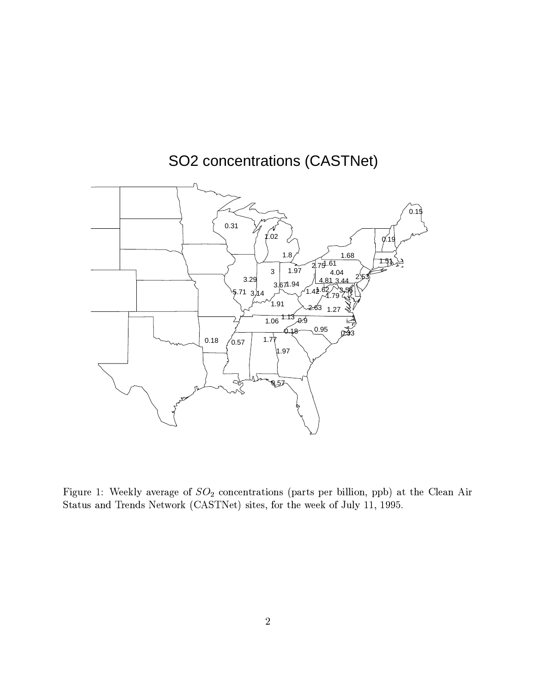

SO2 concentrations (CASTNet)

+- / (b]xy/=/=T;,78I#0
/=#
 /\$)(Ud>Q/=A#)-2q5%#
]%a/QD&,,-|<Z%%Du]#)]O&/-,-/B#
yi4 Status and Trends Network (CASTNet) sites, for the week of July 11, 1995.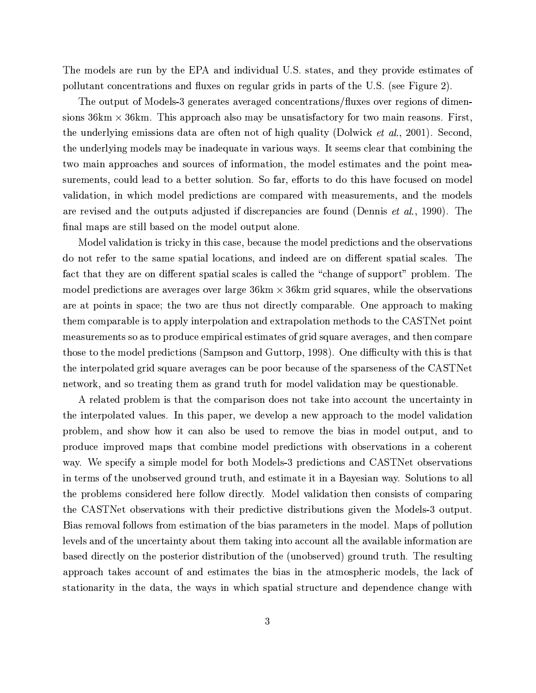The models are run by the EPA and individual U.S. states, and they provide estimates of pollutant concentrations and fluxes on regular grids in parts of the U.S. (see Figure 2).

The output of Models-3 generates averaged concentrations/fluxes over regions of dimensions  $36 \text{km} \times 36 \text{km}$ . This approach also may be unsatisfactory for two main reasons. First, the underlying emissions data are often not of high quality (Dolwick *et al.*, 2001). Second, the underlying models may be inadequate in various ways. It seems clear that combining the two main approaches and sources of information, the model estimates and the point measurements, could lead to a better solution. So far, efforts to do this have focused on model validation, in which model predictions are compared with measurements, and the models are revised and the outputs adjusted if discrepancies are found (Dennis *et al.*, 1990). The final maps are still based on the model output alone.

Model validation is tricky in this case, because the model predictions and the observations do not refer to the same spatial locations, and indeed are on different spatial scales. The fact that they are on different spatial scales is called the "change of support" problem. The model predictions are averages over large  $36 \text{km} \times 36 \text{km}$  grid squares, while the observations are at points in space; the two are thus not directly comparable. One approach to making them comparable is to apply interpolation and extrapolation methods to the CASTNet point measurements so as to produce empirical estimates of grid square averages, and then compare those to the model predictions (Sampson and Guttorp, 1998). One difficulty with this is that the interpolated grid square averages can be poor because of the sparseness of the CASTNet network, and so treating them as grand truth for model validation may be questionable.

A related problem is that the comparison does not take into account the uncertainty in the interpolated values. In this paper, we develop a new approach to the model validation problem, and show how it can also be used to remove the bias in model output, and to produce improved maps that combine model predictions with observations in a coherent way. We specify a simple model for both Models-3 predictions and CASTNet observations in terms of the unobserved ground truth, and estimate it in a Bayesian way. Solutions to all the problems considered here follow directly. Model validation then consists of comparing the CASTNet observations with their predictive distributions given the Models-3 output. Bias removal follows from estimation of the bias parameters in the model. Maps of pollution levels and of the uncertainty about them taking into account all the available information are based directly on the posterior distribution of the (unobserved) ground truth. The resulting approach takes account of and estimates the bias in the atmospheric models, the lack of stationarity in the data, the ways in which spatial structure and dependence change with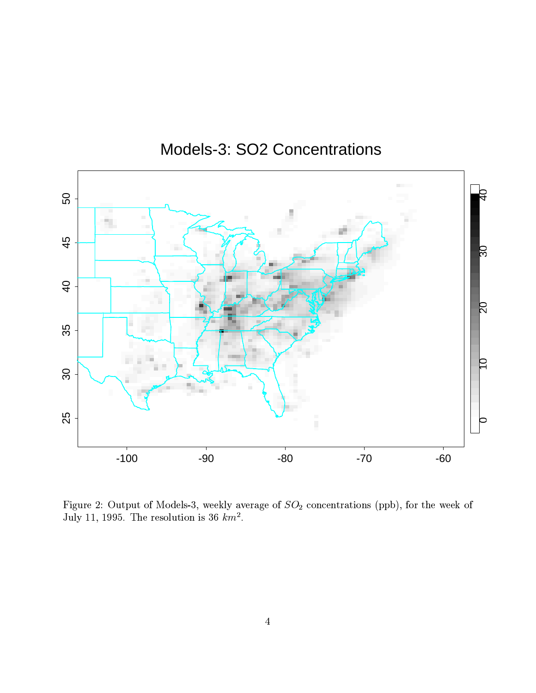

# Models-3: SO2 Concentrations

Figure 2: Output of Models-3, weekly average of  $SO_2$  concentrations (ppb), for the week of July 11, 1995. The resolution is 36  $km^2$ .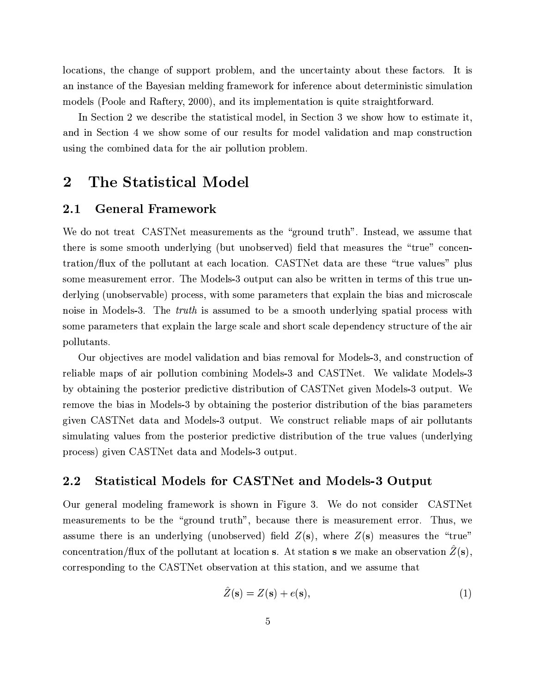locations, the change of support problem, and the uncertainty about these factors. It is an instance of the Bayesian melding framework for inference about deterministic simulation models (Poole and Raftery, 2000), and its implementation is quite straightforward.

In Section 2 we describe the statistical model, in Section 3 we show how to estimate it, and in Section 4 we show some of our results for model validation and map construction using the combined data for the air pollution problem.

### $\overline{2}$ The Statistical Model

#### **General Framework**  $2.1$

We do not treat CASTNet measurements as the "ground truth". Instead, we assume that there is some smooth underlying (but unobserved) field that measures the "true" concentration/flux of the pollutant at each location. CASTNet data are these "true values" plus some measurement error. The Models-3 output can also be written in terms of this true underlying (unobservable) process, with some parameters that explain the bias and microscale noise in Models-3. The *truth* is assumed to be a smooth underlying spatial process with some parameters that explain the large scale and short scale dependency structure of the air pollutants.

Our objectives are model validation and bias removal for Models-3, and construction of reliable maps of air pollution combining Models-3 and CASTNet. We validate Models-3 by obtaining the posterior predictive distribution of CASTNet given Models-3 output. We remove the bias in Models-3 by obtaining the posterior distribution of the bias parameters given CASTNet data and Models-3 output. We construct reliable maps of air pollutants simulating values from the posterior predictive distribution of the true values (underlying process) given CASTNet data and Models-3 output.

#### **Statistical Models for CASTNet and Models-3 Output**  $2.2$

Our general modeling framework is shown in Figure 3. We do not consider CASTNet measurements to be the "ground truth", because there is measurement error. Thus, we assume there is an underlying (unobserved) field  $Z(s)$ , where  $Z(s)$  measures the "true" concentration/flux of the pollutant at location s. At station s we make an observation  $\hat{Z}(\mathbf{s})$ , corresponding to the CASTNet observation at this station, and we assume that

$$
\hat{Z}(\mathbf{s}) = Z(\mathbf{s}) + e(\mathbf{s}),\tag{1}
$$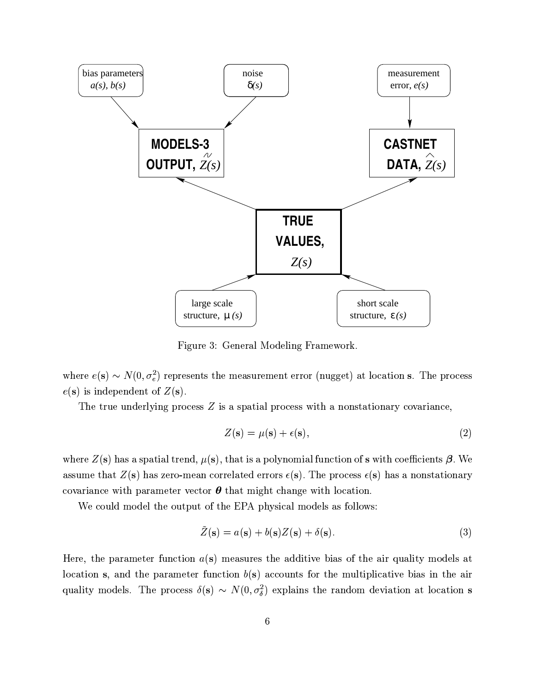

Figure 3: General Modeling Framework.

where  $e(s) \sim N(0, \sigma_e^2)$  represents the measurement error (nugget) at location s. The process  $e(s)$  is independent of  $Z(s)$ .

The true underlying process  $Z$  is a spatial process with a nonstationary covariance,

$$
Z(\mathbf{s}) = \mu(\mathbf{s}) + \epsilon(\mathbf{s}),\tag{2}
$$

where  $Z(s)$  has a spatial trend,  $\mu(s)$ , that is a polynomial function of s with coefficients  $\beta$ . We assume that  $Z(s)$  has zero-mean correlated errors  $\epsilon(s)$ . The process  $\epsilon(s)$  has a nonstationary covariance with parameter vector  $\theta$  that might change with location.

We could model the output of the EPA physical models as follows:

$$
\tilde{Z}(\mathbf{s}) = a(\mathbf{s}) + b(\mathbf{s})Z(\mathbf{s}) + \delta(\mathbf{s}).\tag{3}
$$

Here, the parameter function  $a(s)$  measures the additive bias of the air quality models at location s, and the parameter function  $b(s)$  accounts for the multiplicative bias in the air quality models. The process  $\delta(s) \sim N(0, \sigma_{\delta}^2)$  explains the random deviation at location s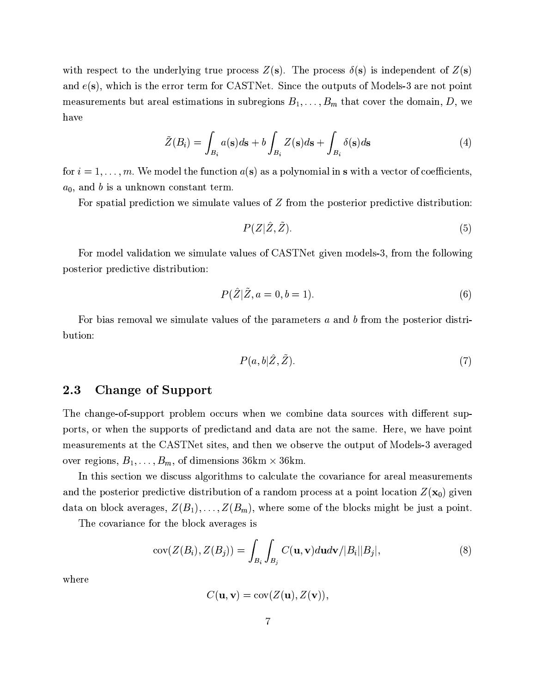with respect to the underlying true process  $Z(s)$ . The process  $\delta(s)$  is independent of  $Z(s)$ and  $e(s)$ , which is the error term for CASTNet. Since the outputs of Models-3 are not point measurements but areal estimations in subregions  $B_1, \ldots, B_m$  that cover the domain, D, we have

$$
\tilde{Z}(B_i) = \int_{B_i} a(s)ds + b \int_{B_i} Z(s)ds + \int_{B_i} \delta(s)ds
$$
\n(4)

for  $i = 1, \ldots, m$ . We model the function  $a(s)$  as a polynomial in s with a vector of coefficients,  $a_0$ , and b is a unknown constant term.

For spatial prediction we simulate values of  $Z$  from the posterior predictive distribution:

$$
P(Z|\hat{Z}, \tilde{Z}).\tag{5}
$$

For model validation we simulate values of CASTNet given models-3, from the following posterior predictive distribution:

$$
P(Z|Z, a=0, b=1). \tag{6}
$$

For bias removal we simulate values of the parameters  $a$  and  $b$  from the posterior distribution:

$$
P(a,b|\hat{Z},\tilde{Z}).\tag{7}
$$

#### 2.3 **Change of Support**

The change-of-support problem occurs when we combine data sources with different supports, or when the supports of predictand and data are not the same. Here, we have point measurements at the CASTNet sites, and then we observe the output of Models-3 averaged over regions,  $B_1, \ldots, B_m$ , of dimensions 36km  $\times$  36km.

In this section we discuss algorithms to calculate the covariance for areal measurements and the posterior predictive distribution of a random process at a point location  $Z(\mathbf{x}_0)$  given data on block averages,  $Z(B_1), \ldots, Z(B_m)$ , where some of the blocks might be just a point.

The covariance for the block averages is

$$
cov(Z(B_i), Z(B_j)) = \int_{B_i} \int_{B_j} C(\mathbf{u}, \mathbf{v}) d\mathbf{u} d\mathbf{v} / |B_i||B_j|,
$$
\n(8)

where

$$
C(\mathbf{u},\mathbf{v})=\text{cov}(Z(\mathbf{u}),Z(\mathbf{v}))
$$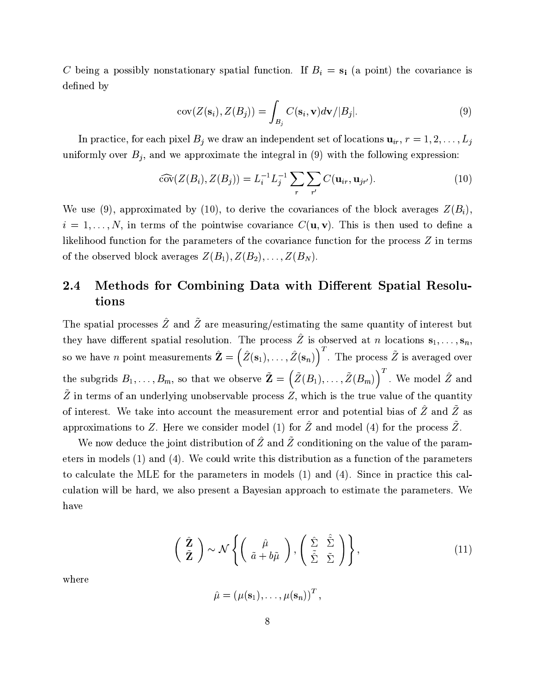C being a possibly nonstationary spatial function. If  $B_i = s_i$  (a point) the covariance is defined by

$$
cov(Z(\mathbf{s}_i), Z(B_j)) = \int_{B_j} C(\mathbf{s}_i, \mathbf{v}) d\mathbf{v} / |B_j|.
$$
 (9)

In practice, for each pixel  $B_j$  we draw an independent set of locations  $\mathbf{u}_{ir}$ ,  $r = 1, 2, \ldots, L_j$ uniformly over  $B_j$ , and we approximate the integral in (9) with the following expression:

$$
\widehat{\text{cov}}(Z(B_i), Z(B_j)) = L_i^{-1} L_j^{-1} \sum_r \sum_{r'} C(\mathbf{u}_{ir}, \mathbf{u}_{jr'}).
$$
 (10)

We use (9), approximated by (10), to derive the covariances of the block averages  $Z(B_i)$ ,  $i = 1, \ldots, N$ , in terms of the pointwise covariance  $C(\mathbf{u}, \mathbf{v})$ . This is then used to define a likelihood function for the parameters of the covariance function for the process Z in terms of the observed block averages  $Z(B_1), Z(B_2), \ldots, Z(B_N)$ .

## Methods for Combining Data with Different Spatial Resolu- $2.4$ tions

The spatial processes  $\hat{Z}$  and  $\tilde{Z}$  are measuring/estimating the same quantity of interest but they have different spatial resolution. The process  $\hat{Z}$  is observed at *n* locations  $\mathbf{s}_1, \ldots, \mathbf{s}_n$ so we have *n* point measurements  $\hat{\mathbf{Z}} = (\hat{Z}(\mathbf{s}_1), \dots, \hat{Z}(\mathbf{s}_n))^T$ . The process  $\tilde{Z}$  is averaged over the subgrids  $B_1, \ldots, B_m$ , so that we observe  $\tilde{\mathbf{Z}} = (\tilde{Z}(B_1), \ldots, \tilde{Z}(B_m))$ <sup>T</sup>. We model  $\hat{Z}$  and  $\tilde{Z}$  in terms of an underlying unobservable process Z, which is the true value of the quantity of interest. We take into account the measurement error and potential bias of  $\hat{Z}$  and  $\tilde{Z}$  as approximations to Z. Here we consider model (1) for  $\hat{Z}$  and model (4) for the process  $\tilde{Z}$ .

We now deduce the joint distribution of  $\hat{Z}$  and  $\tilde{Z}$  conditioning on the value of the parameters in models  $(1)$  and  $(4)$ . We could write this distribution as a function of the parameters to calculate the MLE for the parameters in models  $(1)$  and  $(4)$ . Since in practice this calculation will be hard, we also present a Bayesian approach to estimate the parameters. We have

$$
\begin{pmatrix} \hat{\mathbf{Z}} \\ \tilde{\mathbf{Z}} \end{pmatrix} \sim \mathcal{N} \left\{ \begin{pmatrix} \hat{\mu} \\ \tilde{a} + b\tilde{\mu} \end{pmatrix}, \begin{pmatrix} \hat{\Sigma} & \hat{\tilde{\Sigma}} \\ \tilde{\tilde{\Sigma}} & \tilde{\Sigma} \end{pmatrix} \right\},
$$
\n(11)

where

 $\hat{\mu} = (\mu(\mathbf{s}_1), \dots, \mu(\mathbf{s}_n))^T$ ,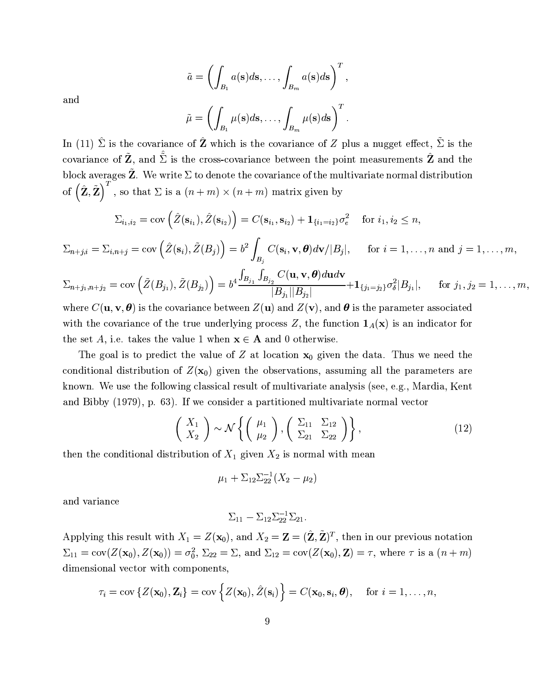$$
\tilde{a} = \left(\int_{B_1} a(s)ds, \dots, \int_{B_m} a(s)ds\right)^T,
$$

$$
\tilde{\mu} = \left(\int \mu(s)ds, \dots, \int \mu(s)ds\right)^T.
$$

and

In  $(11)$ 

In (11) 
$$
\hat{\Sigma}
$$
 is the covariance of  $\hat{\mathbf{Z}}$  which is the covariance of  $Z$  plus a suggest effect,  $\tilde{\Sigma}$  is the covariance of  $\tilde{\mathbf{Z}}$ , and  $\tilde{\Sigma}$  is the cross-covariance between the point measurements  $\hat{\mathbf{Z}}$  and the block averages  $\tilde{\mathbf{Z}}$ . We write  $\Sigma$  to denote the covariance of the multivariate normal distribution

of  $(\hat{\mathbf{Z}}, \tilde{\mathbf{Z}})^T$ , so that  $\Sigma$  is a  $(n+m) \times (n+m)$  matrix given by

$$
\Sigma_{i_1,i_2} = \text{cov}\left(\hat{Z}(\mathbf{s}_{i_1}), \hat{Z}(\mathbf{s}_{i_2})\right) = C(\mathbf{s}_{i_1}, \mathbf{s}_{i_2}) + \mathbf{1}_{\{i_1=i_2\}} \sigma_e^2 \quad \text{ for } i_1, i_2 \le n,
$$

$$
\Sigma_{n+j,i} = \Sigma_{i,n+j} = \text{cov}\left(\hat{Z}(\mathbf{s}_i), \tilde{Z}(B_j)\right) = b^2 \int_{B_j} C(\mathbf{s}_i, \mathbf{v}, \boldsymbol{\theta}) d\mathbf{v}/|B_j|, \quad \text{ for } i = 1, \ldots, n \text{ and } j = 1, \ldots, m,
$$

 $\Sigma_{n+j_1,n+j_2} = \text{cov}\left(\tilde{Z}(B_{j_1}), \tilde{Z}(B_{j_2})\right) = b^4 \frac{\int_{B_{j_1}} \int_{B_{j_2}} C(\mathbf{u}, \mathbf{v}, \boldsymbol{\theta}) d\mathbf{u} d\mathbf{v}}{|B_{j_1}||B_{j_2}|} + 1_{\{j_1=j_2\}} \sigma_{\delta}^2 |B_{j_1}|, \quad \text{for } j_1, j_2 = 1, \ldots, m,$ 

where  $C(\mathbf{u}, \mathbf{v}, \boldsymbol{\theta})$  is the covariance between  $Z(\mathbf{u})$  and  $Z(\mathbf{v})$ , and  $\boldsymbol{\theta}$  is the parameter associated with the covariance of the true underlying process Z, the function  $1_A(x)$  is an indicator for the set A, i.e. takes the value 1 when  $x \in A$  and 0 otherwise.

The goal is to predict the value of Z at location  $x_0$  given the data. Thus we need the conditional distribution of  $Z(\mathbf{x}_0)$  given the observations, assuming all the parameters are known. We use the following classical result of multivariate analysis (see, e.g., Mardia, Kent and Bibby (1979), p. 63). If we consider a partitioned multivariate normal vector

$$
\begin{pmatrix} X_1 \\ X_2 \end{pmatrix} \sim \mathcal{N} \left\{ \begin{pmatrix} \mu_1 \\ \mu_2 \end{pmatrix}, \begin{pmatrix} \Sigma_{11} & \Sigma_{12} \\ \Sigma_{21} & \Sigma_{22} \end{pmatrix} \right\},
$$
\n(12)

then the conditional distribution of  $X_1$  given  $X_2$  is normal with mean

$$
\mu_1 + \Sigma_{12} \Sigma_{22}^{-1} (X_2 - \mu_2)
$$

and variance

$$
\Sigma_{11} - \Sigma_{12} \Sigma_{22}^{-1} \Sigma_{21}.
$$

Applying this result with  $X_1 = Z(\mathbf{x}_0)$ , and  $X_2 = \mathbf{Z} = (\hat{\mathbf{Z}}, \tilde{\mathbf{Z}})^T$ , then in our previous notation  $\Sigma_{11} = \text{cov}(Z(\mathbf{x}_0), Z(\mathbf{x}_0)) = \sigma_0^2$ ,  $\Sigma_{22} = \Sigma$ , and  $\Sigma_{12} = \text{cov}(Z(\mathbf{x}_0), \mathbf{Z}) = \tau$ , where  $\tau$  is a  $(n+m)$ dimensional vector with components,

$$
\tau_i = \text{cov}\left\{Z(\mathbf{x}_0), \mathbf{Z}_i\right\} = \text{cov}\left\{Z(\mathbf{x}_0), \hat{Z}(\mathbf{s}_i)\right\} = C(\mathbf{x}_0, \mathbf{s}_i, \boldsymbol{\theta}), \quad \text{ for } i = 1, \ldots, n
$$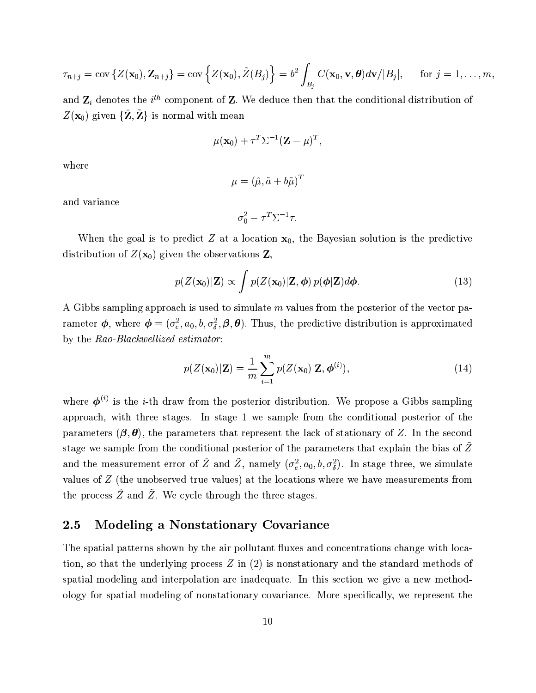$$
\tau_{n+j} = \text{cov}\left\{Z(\mathbf{x}_0), \mathbf{Z}_{n+j}\right\} = \text{cov}\left\{Z(\mathbf{x}_0), \tilde{Z}(B_j)\right\} = b^2 \int_{B_j} C(\mathbf{x}_0, \mathbf{v}, \boldsymbol{\theta}) d\mathbf{v}/|B_j|, \quad \text{for } j = 1, \ldots, m
$$

and  $\mathbf{Z}_i$  denotes the  $i^{th}$  component of Z. We deduce then that the conditional distribution of  $Z(\mathbf{x}_0)$  given  $\{\hat{\mathbf{Z}}, \tilde{\mathbf{Z}}\}$  is normal with mean

$$
\mu(\mathbf{x}_0)+\tau^T\Sigma^{-1}(\mathbf{Z}-\mu)^T
$$

where

$$
\mu = (\hat{\mu}, \tilde{a} + b\tilde{\mu})^T
$$

and variance

$$
\sigma_0^2 - \tau^T \Sigma^{-1} \tau
$$

When the goal is to predict  $Z$  at a location  $x_0$ , the Bayesian solution is the predictive distribution of  $Z(\mathbf{x}_0)$  given the observations Z,

$$
p(Z(\mathbf{x}_0)|\mathbf{Z}) \propto \int p(Z(\mathbf{x}_0)|\mathbf{Z}, \boldsymbol{\phi}) p(\boldsymbol{\phi}|\mathbf{Z}) d\boldsymbol{\phi}.
$$
 (13)

A Gibbs sampling approach is used to simulate m values from the posterior of the vector parameter  $\phi$ , where  $\phi = (\sigma_e^2, a_0, b, \sigma_\delta^2, \beta, \theta)$ . Thus, the predictive distribution is approximated by the Rao-Blackwellized estimator:

$$
p(Z(\mathbf{x}_0)|\mathbf{Z}) = \frac{1}{m} \sum_{i=1}^{m} p(Z(\mathbf{x}_0)|\mathbf{Z}, \boldsymbol{\phi}^{(i)}),
$$
\n(14)

where  $\boldsymbol{\phi}^{(i)}$  is the *i*-th draw from the posterior distribution. We propose a Gibbs sampling approach, with three stages. In stage 1 we sample from the conditional posterior of the parameters  $(\beta, \theta)$ , the parameters that represent the lack of stationary of Z. In the second stage we sample from the conditional posterior of the parameters that explain the bias of  $\tilde{Z}$ and the measurement error of  $\hat{Z}$  and  $\tilde{Z}$ , namely  $(\sigma_e^2, a_0, b, \sigma_\delta^2)$ . In stage three, we simulate values of Z (the unobserved true values) at the locations where we have measurements from the process  $\overline{Z}$  and  $\overline{Z}$ . We cycle through the three stages.

#### **Modeling a Nonstationary Covariance**  $2.5\,$

The spatial patterns shown by the air pollutant fluxes and concentrations change with location, so that the underlying process  $Z$  in (2) is nonstationary and the standard methods of spatial modeling and interpolation are inadequate. In this section we give a new methodology for spatial modeling of nonstationary covariance. More specifically, we represent the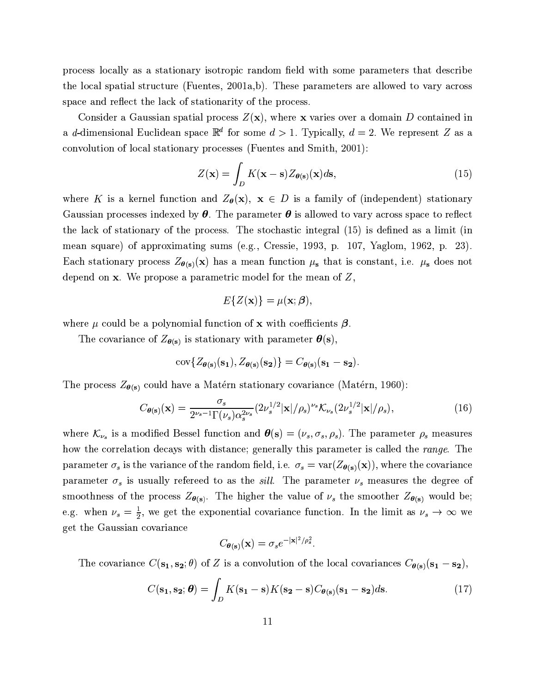process locally as a stationary isotropic random field with some parameters that describe the local spatial structure (Fuentes, 2001a,b). These parameters are allowed to vary across space and reflect the lack of stationarity of the process.

Consider a Gaussian spatial process  $Z(\mathbf{x})$ , where x varies over a domain D contained in a d-dimensional Euclidean space  $\mathbb{R}^d$  for some  $d > 1$ . Typically,  $d = 2$ . We represent Z as a convolution of local stationary processes (Fuentes and Smith, 2001):

$$
Z(\mathbf{x}) = \int_{D} K(\mathbf{x} - \mathbf{s}) Z_{\theta(\mathbf{s})}(\mathbf{x}) d\mathbf{s}, \qquad (15)
$$

where K is a kernel function and  $Z_{\theta}(\mathbf{x}), \mathbf{x} \in D$  is a family of (independent) stationary Gaussian processes indexed by  $\theta$ . The parameter  $\theta$  is allowed to vary across space to reflect the lack of stationary of the process. The stochastic integral (15) is defined as a limit (in mean square) of approximating sums (e.g., Cressie, 1993, p. 107, Yaglom, 1962, p. 23). Each stationary process  $Z_{\theta(s)}(x)$  has a mean function  $\mu_s$  that is constant, i.e.  $\mu_s$  does not depend on  $x$ . We propose a parametric model for the mean of  $Z$ ,

$$
E\{Z(\mathbf{x})\} = \mu(\mathbf{x}; \boldsymbol{\beta})
$$

where  $\mu$  could be a polynomial function of **x** with coefficients  $\beta$ .

The covariance of  $Z_{\boldsymbol{\theta}(\mathbf{s})}$  is stationary with parameter  $\boldsymbol{\theta}(\mathbf{s}),$ 

$$
\text{cov}\{Z_{\theta(\mathbf{s})}(\mathbf{s_1}), Z_{\theta(\mathbf{s})}(\mathbf{s_2})\} = C_{\theta(\mathbf{s})}(\mathbf{s_1}-\mathbf{s_2}).
$$

The process  $Z_{\theta(s)}$  could have a Matérn stationary covariance (Matérn, 1960):

$$
C_{\boldsymbol{\theta}(\mathbf{s})}(\mathbf{x}) = \frac{\sigma_s}{2^{\nu_s - 1} \Gamma(\nu_s) \alpha_s^{2\nu_s}} (2\nu_s^{1/2} |\mathbf{x}|/\rho_s)^{\nu_s} \mathcal{K}_{\nu_s} (2\nu_s^{1/2} |\mathbf{x}|/\rho_s), \tag{16}
$$

where  $\mathcal{K}_{\nu_s}$  is a modified Bessel function and  $\boldsymbol{\theta}(s) = (\nu_s, \sigma_s, \rho_s)$ . The parameter  $\rho_s$  measures how the correlation decays with distance; generally this parameter is called the range. The parameter  $\sigma_s$  is the variance of the random field, i.e.  $\sigma_s = \text{var}(Z_{\theta(s)}(\mathbf{x}))$ , where the covariance parameter  $\sigma_s$  is usually refereed to as the *sill*. The parameter  $\nu_s$  measures the degree of smoothness of the process  $Z_{\theta(s)}$ . The higher the value of  $\nu_s$  the smoother  $Z_{\theta(s)}$  would be; e.g. when  $\nu_s = \frac{1}{2}$ , we get the exponential covariance function. In the limit as  $\nu_s \to \infty$  we get the Gaussian covariance

$$
C_{\boldsymbol{\theta}(\mathbf{s})}(\mathbf{x}) = \sigma_s e^{-|\mathbf{x}|^2/\rho_s^2}.
$$

The covariance  $C(\mathbf{s_1}, \mathbf{s_2}; \theta)$  of Z is a convolution of the local covariances  $C_{\theta(\mathbf{s})}(\mathbf{s_1} - \mathbf{s_2})$ ,

$$
C(\mathbf{s_1}, \mathbf{s_2}; \boldsymbol{\theta}) = \int_D K(\mathbf{s_1} - \mathbf{s}) K(\mathbf{s_2} - \mathbf{s}) C_{\boldsymbol{\theta}(\mathbf{s})} (\mathbf{s_1} - \mathbf{s_2}) d\mathbf{s}.
$$
 (17)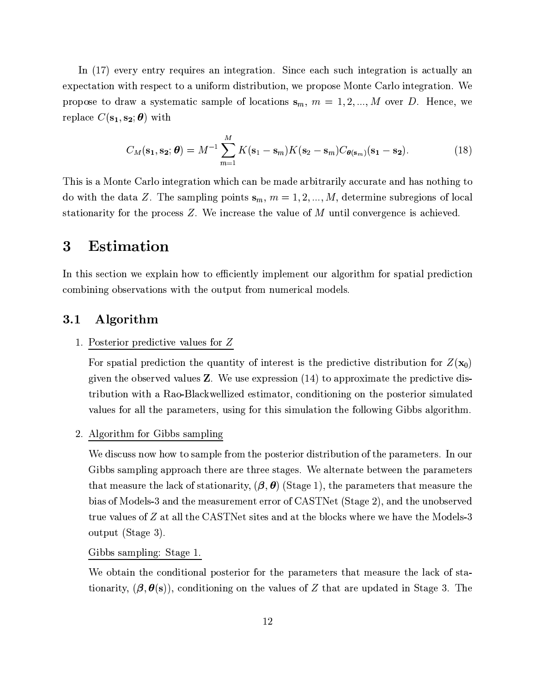In (17) every entry requires an integration. Since each such integration is actually an expectation with respect to a uniform distribution, we propose Monte Carlo integration. We propose to draw a systematic sample of locations  $s_m$ ,  $m = 1, 2, ..., M$  over D. Hence, we replace  $C(\mathbf{s_1}, \mathbf{s_2}; \boldsymbol{\theta})$  with

$$
C_M(\mathbf{s_1}, \mathbf{s_2}; \boldsymbol{\theta}) = M^{-1} \sum_{m=1}^M K(\mathbf{s_1} - \mathbf{s}_m) K(\mathbf{s_2} - \mathbf{s}_m) C_{\boldsymbol{\theta}(\mathbf{s}_m)}(\mathbf{s_1} - \mathbf{s_2}). \tag{18}
$$

This is a Monte Carlo integration which can be made arbitrarily accurate and has nothing to do with the data Z. The sampling points  $s_m$ ,  $m = 1, 2, ..., M$ , determine subregions of local stationarity for the process  $Z$ . We increase the value of  $M$  until convergence is achieved.

### Estimation  $\bf{3}$

In this section we explain how to efficiently implement our algorithm for spatial prediction combining observations with the output from numerical models.

#### Algorithm  $3.1$

## 1. Posterior predictive values for  $Z$

For spatial prediction the quantity of interest is the predictive distribution for  $Z(\mathbf{x}_0)$ given the observed values  $Z$ . We use expression  $(14)$  to approximate the predictive distribution with a Rao-Blackwellized estimator, conditioning on the posterior simulated values for all the parameters, using for this simulation the following Gibbs algorithm.

## 2. Algorithm for Gibbs sampling

We discuss now how to sample from the posterior distribution of the parameters. In our Gibbs sampling approach there are three stages. We alternate between the parameters that measure the lack of stationarity,  $(\beta, \theta)$  (Stage 1), the parameters that measure the bias of Models-3 and the measurement error of CASTNet (Stage 2), and the unobserved true values of Z at all the CASTNet sites and at the blocks where we have the Models-3 output (Stage 3).

Gibbs sampling: Stage 1.

We obtain the conditional posterior for the parameters that measure the lack of stationarity,  $(\beta, \theta(s))$ , conditioning on the values of Z that are updated in Stage 3. The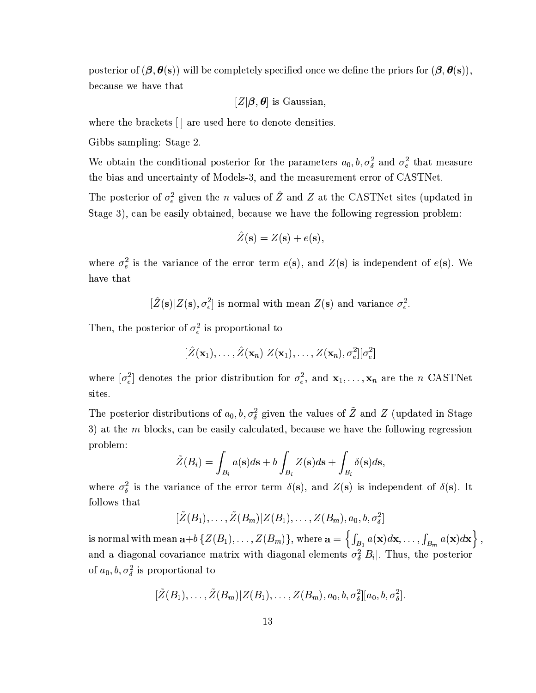posterior of  $(\beta, \theta(s))$  will be completely specified once we define the priors for  $(\beta, \theta(s))$ , because we have that

$$
[Z|\boldsymbol{\beta},\boldsymbol{\theta}] \text{ is Gaussian},
$$

where the brackets [] are used here to denote densities.

## Gibbs sampling: Stage 2.

We obtain the conditional posterior for the parameters  $a_0, b, \sigma_\delta^2$  and  $\sigma_e^2$  that measure the bias and uncertainty of Models-3, and the measurement error of CASTNet.

The posterior of  $\sigma_e^2$  given the *n* values of  $\hat{Z}$  and Z at the CASTNet sites (updated in Stage 3), can be easily obtained, because we have the following regression problem:

$$
\hat{Z}(\mathbf{s}) = Z(\mathbf{s}) + e(\mathbf{s})
$$

where  $\sigma_e^2$  is the variance of the error term  $e(s)$ , and  $Z(s)$  is independent of  $e(s)$ . We have that

 $[\hat{Z}(\mathbf{s})|Z(\mathbf{s}), \sigma_e^2]$  is normal with mean  $Z(\mathbf{s})$  and variance  $\sigma_e^2$ .

Then, the posterior of  $\sigma_e^2$  is proportional to

$$
[\hat{Z}(\mathbf{x}_1),\ldots,\hat{Z}(\mathbf{x}_n)|Z(\mathbf{x}_1),\ldots,Z(\mathbf{x}_n),\sigma_e^2][\sigma_e^2]
$$

where  $[\sigma_e^2]$  denotes the prior distribution for  $\sigma_e^2$ , and  $\mathbf{x}_1, \ldots, \mathbf{x}_n$  are the *n* CASTNet sites.

The posterior distributions of  $a_0, b, \sigma_{\delta}^2$  given the values of  $\tilde{Z}$  and Z (updated in Stage 3) at the  $m$  blocks, can be easily calculated, because we have the following regression problem:

$$
\tilde{Z}(B_i) = \int_{B_i} a(s)ds + b \int_{B_i} Z(s)ds + \int_{B_i} \delta(s)ds
$$

where  $\sigma_{\delta}^2$  is the variance of the error term  $\delta(s)$ , and  $Z(s)$  is independent of  $\delta(s)$ . It follows that

 $[\tilde{Z}(B_1), \ldots, \tilde{Z}(B_m) | Z(B_1), \ldots, Z(B_m), a_0, b, \sigma_s^2]$ 

is normal with mean  $\mathbf{a}+b\{Z(B_1),\ldots,Z(B_m)\}\$ , where  $\mathbf{a}=\left\{\int_{B_1}a(\mathbf{x})d\mathbf{x},\ldots,\int_{B_m}a(\mathbf{x})d\mathbf{x}\right\}$ , and a diagonal covariance matrix with diagonal elements  $\sigma_{\delta}^2|B_i|$ . Thus, the posterior of  $a_0, b, \sigma_\delta^2$  is proportional to

 $[\tilde{Z}(B_1), \ldots, \tilde{Z}(B_m)|Z(B_1), \ldots, Z(B_m), a_0, b, \sigma_s^2][a_0, b, \sigma_s^2]$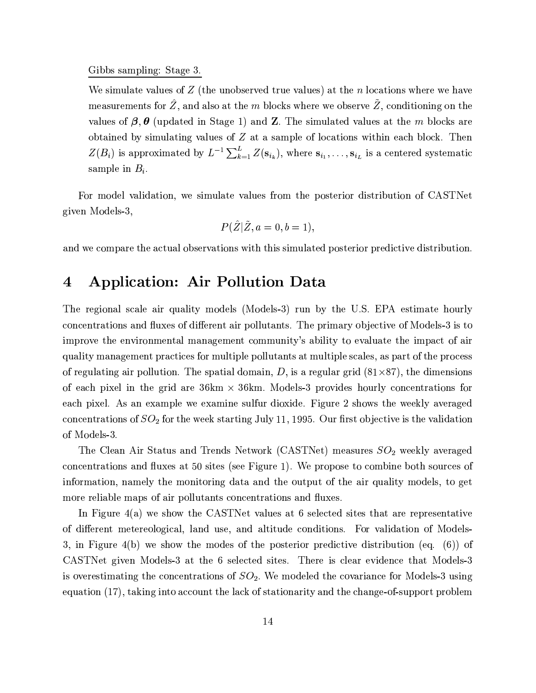### Gibbs sampling: Stage 3.

We simulate values of  $Z$  (the unobserved true values) at the n locations where we have measurements for  $\hat{Z}$ , and also at the  $m$  blocks where we observe  $\tilde{Z}$ , conditioning on the values of  $\beta$ ,  $\theta$  (updated in Stage 1) and Z. The simulated values at the m blocks are obtained by simulating values of  $Z$  at a sample of locations within each block. Then  $Z(B_i)$  is approximated by  $L^{-1}\sum_{k=1}^{L}Z(\mathbf{s}_{i_k})$ , where  $\mathbf{s}_{i_1},\ldots,\mathbf{s}_{i_L}$  is a centered systematic sample in  $B_i$ .

For model validation, we simulate values from the posterior distribution of CASTNet given Models-3,

$$
P(\hat{Z}|\tilde{Z}, a=0, b=1),
$$

and we compare the actual observations with this simulated posterior predictive distribution.

### **Application: Air Pollution Data**  $\bf{4}$

The regional scale air quality models (Models-3) run by the U.S. EPA estimate hourly concentrations and fluxes of different air pollutants. The primary objective of Models-3 is to improve the environmental management community's ability to evaluate the impact of air quality management practices for multiple pollutants at multiple scales, as part of the process of regulating air pollution. The spatial domain, D, is a regular grid  $(81\times87)$ , the dimensions of each pixel in the grid are  $36 \text{km} \times 36 \text{km}$ . Models-3 provides hourly concentrations for each pixel. As an example we examine sulfur dioxide. Figure 2 shows the weekly averaged concentrations of  $SO_2$  for the week starting July 11, 1995. Our first objective is the validation of Models-3.

The Clean Air Status and Trends Network (CASTNet) measures  $SO_2$  weekly averaged concentrations and fluxes at 50 sites (see Figure 1). We propose to combine both sources of information, namely the monitoring data and the output of the air quality models, to get more reliable maps of air pollutants concentrations and fluxes.

In Figure 4(a) we show the CASTNet values at 6 selected sites that are representative of different metereological, land use, and altitude conditions. For validation of Models-3, in Figure 4(b) we show the modes of the posterior predictive distribution (eq.  $(6)$ ) of CASTNet given Models-3 at the 6 selected sites. There is clear evidence that Models-3 is overestimating the concentrations of  $SO_2$ . We modeled the covariance for Models-3 using equation (17), taking into account the lack of stationarity and the change-of-support problem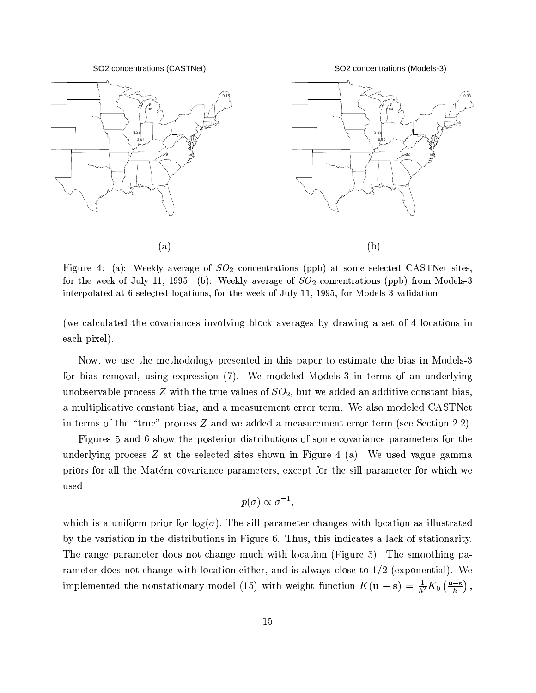SO2 concentrations (CASTNet)

SO2 concentrations (Models-3)



Figure 4: (a): Weekly average of  $SO_2$  concentrations (ppb) at some selected CASTNet sites, for the week of July 11, 1995. (b): Weekly average of  $SO_2$  concentrations (ppb) from Models-3 interpolated at 6 selected locations, for the week of July 11, 1995, for Models-3 validation.

(we calculated the covariances involving block averages by drawing a set of 4 locations in each pixel).

Now, we use the methodology presented in this paper to estimate the bias in Models-3 for bias removal, using expression (7). We modeled Models-3 in terms of an underlying unobservable process Z with the true values of  $SO_2$ , but we added an additive constant bias, a multiplicative constant bias, and a measurement error term. We also modeled CASTNet in terms of the "true" process  $Z$  and we added a measurement error term (see Section 2.2).

Figures 5 and 6 show the posterior distributions of some covariance parameters for the underlying process  $Z$  at the selected sites shown in Figure 4 (a). We used vague gamma priors for all the Matérn covariance parameters, except for the sill parameter for which we used

$$
p(\sigma) \propto \sigma^{-1},
$$

which is a uniform prior for  $log(\sigma)$ . The sill parameter changes with location as illustrated by the variation in the distributions in Figure 6. Thus, this indicates a lack of stationarity. The range parameter does not change much with location (Figure 5). The smoothing parameter does not change with location either, and is always close to  $1/2$  (exponential). We implemented the nonstationary model (15) with weight function  $K(\mathbf{u}-\mathbf{s}) = \frac{1}{h^2}K_0\left(\frac{\mathbf{u}-\mathbf{s}}{h}\right)$ ,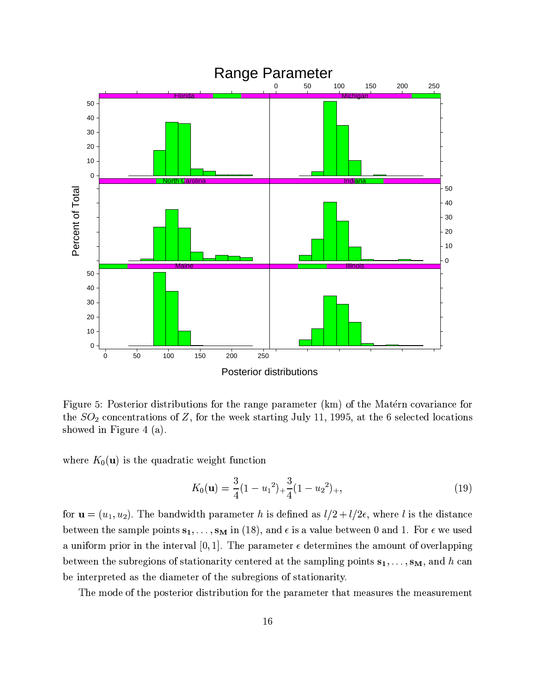

Figure 5: Posterior distributions for the range parameter (km) of the Matérn covariance for the  $SO_2$  concentrations of Z, for the week starting July 11, 1995, at the 6 selected locations showed in Figure 4  $(a)$ .

where  $K_0(\mathbf{u})$  is the quadratic weight function

$$
K_0(\mathbf{u}) = \frac{3}{4}(1 - {u_1}^2)_{+} \frac{3}{4}(1 - {u_2}^2)_{+},
$$
\n(19)

for  $\mathbf{u} = (u_1, u_2)$ . The bandwidth parameter h is defined as  $l/2 + l/2\epsilon$ , where l is the distance between the sample points  $s_1, \ldots, s_M$  in (18), and  $\epsilon$  is a value between 0 and 1. For  $\epsilon$  we used a uniform prior in the interval [0, 1]. The parameter  $\epsilon$  determines the amount of overlapping between the subregions of stationarity centered at the sampling points  $s_1, \ldots, s_M$ , and h can be interpreted as the diameter of the subregions of stationarity.

The mode of the posterior distribution for the parameter that measures the measurement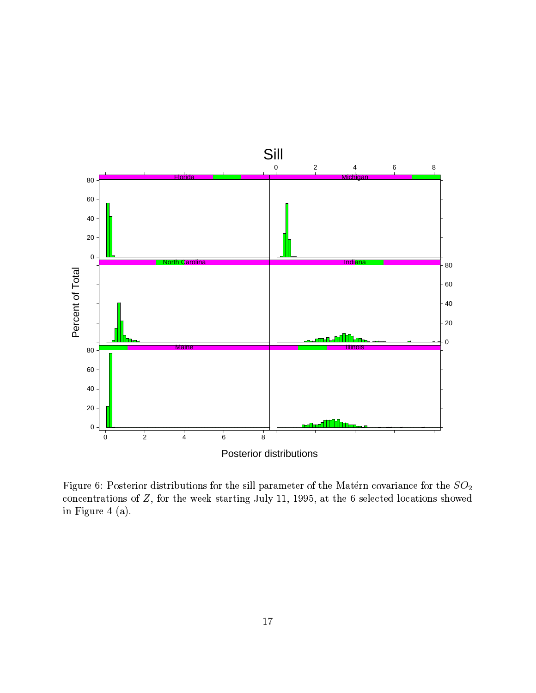

Figure 6: Posterior distributions for the sill parameter of the Matérn covariance for the  $SO_2$ concentrations of  $Z$ , for the week starting July 11, 1995, at the 6 selected locations showed in Figure 4 (a).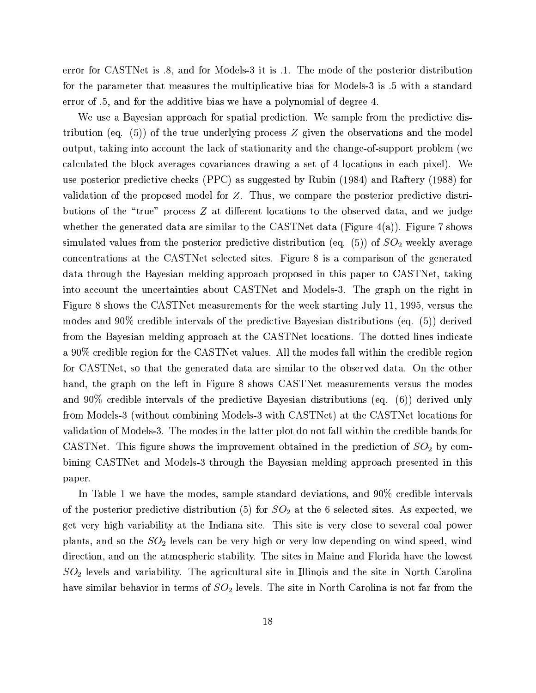error for CASTNet is 8, and for Models-3 it is 1. The mode of the posterior distribution for the parameter that measures the multiplicative bias for Models-3 is .5 with a standard error of .5, and for the additive bias we have a polynomial of degree 4.

We use a Bayesian approach for spatial prediction. We sample from the predictive distribution (eq.  $(5)$ ) of the true underlying process Z given the observations and the model output, taking into account the lack of stationarity and the change-of-support problem (we calculated the block averages covariances drawing a set of 4 locations in each pixel). We use posterior predictive checks (PPC) as suggested by Rubin (1984) and Raftery (1988) for validation of the proposed model for Z. Thus, we compare the posterior predictive distributions of the "true" process Z at different locations to the observed data, and we judge whether the generated data are similar to the CASTNet data (Figure 4(a)). Figure 7 shows simulated values from the posterior predictive distribution (eq.  $(5)$ ) of  $SO<sub>2</sub>$  weekly average concentrations at the CASTNet selected sites. Figure 8 is a comparison of the generated data through the Bayesian melding approach proposed in this paper to CASTNet, taking into account the uncertainties about CASTNet and Models-3. The graph on the right in Figure 8 shows the CASTNet measurements for the week starting July 11, 1995, versus the modes and 90% credible intervals of the predictive Bayesian distributions (eq.  $(5)$ ) derived from the Bayesian melding approach at the CASTNet locations. The dotted lines indicate a 90% credible region for the CASTNet values. All the modes fall within the credible region for CASTNet, so that the generated data are similar to the observed data. On the other hand, the graph on the left in Figure 8 shows CASTNet measurements versus the modes and  $90\%$  credible intervals of the predictive Bayesian distributions (eq. (6)) derived only from Models-3 (without combining Models-3 with CASTNet) at the CASTNet locations for validation of Models-3. The modes in the latter plot do not fall within the credible bands for CASTNet. This figure shows the improvement obtained in the prediction of  $SO_2$  by combining CASTNet and Models-3 through the Bayesian melding approach presented in this paper.

In Table 1 we have the modes, sample standard deviations, and 90% credible intervals of the posterior predictive distribution (5) for  $SO_2$  at the 6 selected sites. As expected, we get very high variability at the Indiana site. This site is very close to several coal power plants, and so the  $SO_2$  levels can be very high or very low depending on wind speed, wind direction, and on the atmospheric stability. The sites in Maine and Florida have the lowest  $SO<sub>2</sub>$  levels and variability. The agricultural site in Illinois and the site in North Carolina have similar behavior in terms of  $SO_2$  levels. The site in North Carolina is not far from the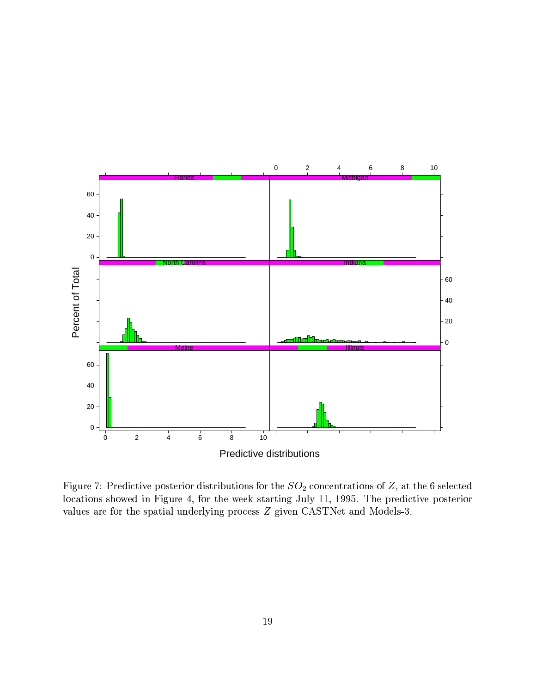

Figure 7: Predictive posterior distributions for the  $SO_2$  concentrations of Z, at the 6 selected locations showed in Figure 4, for the week starting July 11, 1995. The predictive posterior values are for the spatial underlying process Z given CASTNet and Models-3.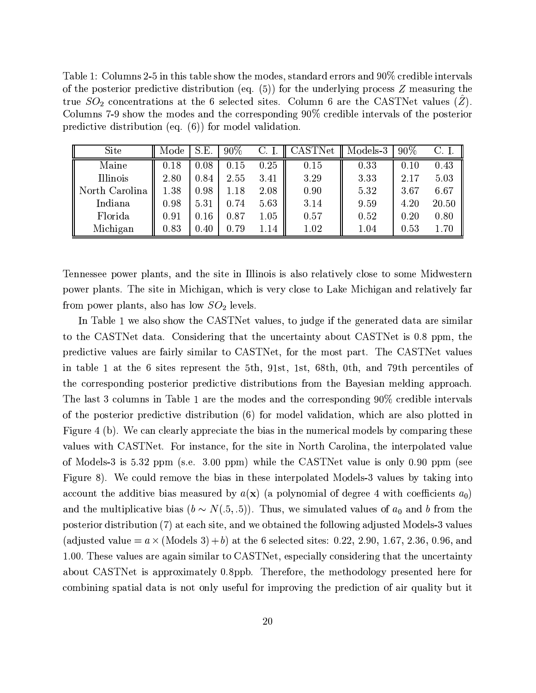Table 1: Columns 2-5 in this table show the modes, standard errors and 90% credible intervals of the posterior predictive distribution (eq.  $(5)$ ) for the underlying process Z measuring the true  $SO_2$  concentrations at the 6 selected sites. Column 6 are the CASTNet values  $(\hat{Z})$ . Columns 7-9 show the modes and the corresponding 90% credible intervals of the posterior predictive distribution (eq.  $(6)$ ) for model validation.

| <b>Site</b>    | Mode | S.E.     | $90\%$ | C. I. | CASTNet | Models-3 | $90\%$ | C. I.    |
|----------------|------|----------|--------|-------|---------|----------|--------|----------|
| Maine          | 0.18 | 0.08     | 0.15   | 0.25  | 0.15    | 0.33     | 0.10   | 0.43     |
| Illinois       | 2.80 | $0.84\,$ | 2.55   | 3.41  | 3.29    | 3.33     | 2.17   | 5.03     |
| North Carolina | 1.38 | $0.98\,$ | 1.18   | 2.08  | 0.90    | 5.32     | 3.67   | 6.67     |
| Indiana        | 0.98 | 5.31     | 0.74   | 5.63  | 3.14    | 9.59     | 4.20   | 20.50    |
| Florida        | 0.91 | 0.16     | 0.87   | 1.05  | 0.57    | 0.52     | 0.20   | 0.80     |
| Michigan       | 0.83 | $0.40\,$ | 0.79   | 1.14  | 1.02    | 1.04     | 0.53   | $1.70\,$ |

Tennessee power plants, and the site in Illinois is also relatively close to some Midwestern power plants. The site in Michigan, which is very close to Lake Michigan and relatively far from power plants, also has low  $SO_2$  levels.

In Table 1 we also show the CASTNet values, to judge if the generated data are similar to the CASTNet data. Considering that the uncertainty about CASTNet is 0.8 ppm, the predictive values are fairly similar to CASTNet, for the most part. The CASTNet values in table 1 at the 6 sites represent the 5th, 91st, 1st, 68th, 0th, and 79th percentiles of the corresponding posterior predictive distributions from the Bayesian melding approach. The last 3 columns in Table 1 are the modes and the corresponding 90% credible intervals of the posterior predictive distribution (6) for model validation, which are also plotted in Figure 4 (b). We can clearly appreciate the bias in the numerical models by comparing these values with CASTNet. For instance, for the site in North Carolina, the interpolated value of Models-3 is 5.32 ppm (s.e. 3.00 ppm) while the CASTNet value is only 0.90 ppm (see Figure 8). We could remove the bias in these interpolated Models-3 values by taking into account the additive bias measured by  $a(\mathbf{x})$  (a polynomial of degree 4 with coefficients  $a_0$ ) and the multiplicative bias ( $b \sim N(.5, .5)$ ). Thus, we simulated values of  $a_0$  and b from the posterior distribution (7) at each site, and we obtained the following adjusted Models-3 values (adjusted value  $= a \times ($ Models 3 $) + b$ ) at the 6 selected sites: 0.22, 2.90, 1.67, 2.36, 0.96, and 1.00. These values are again similar to CASTNet, especially considering that the uncertainty about CASTNet is approximately 0.8ppb. Therefore, the methodology presented here for combining spatial data is not only useful for improving the prediction of air quality but it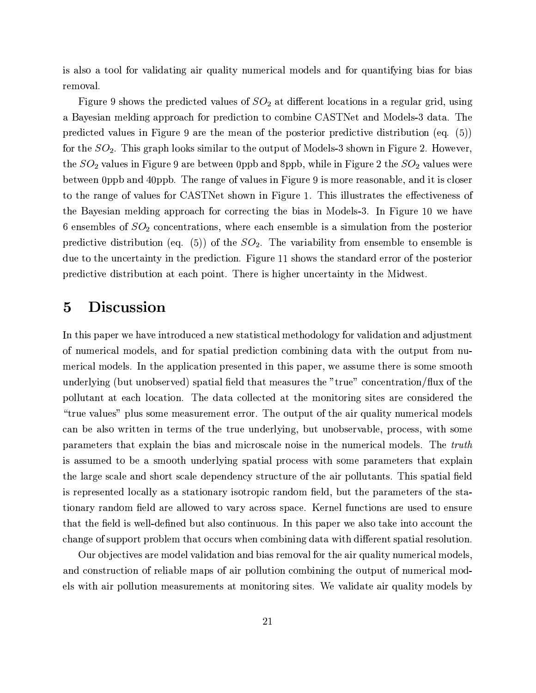is also a tool for validating air quality numerical models and for quantifying bias for bias removal.

Figure 9 shows the predicted values of  $SO_2$  at different locations in a regular grid, using a Bayesian melding approach for prediction to combine CASTNet and Models-3 data. The predicted values in Figure 9 are the mean of the posterior predictive distribution (eq.  $(5)$ ) for the  $SO_2$ . This graph looks similar to the output of Models-3 shown in Figure 2. However, the  $SO_2$  values in Figure 9 are between 0ppb and 8ppb, while in Figure 2 the  $SO_2$  values were between 0ppb and 40ppb. The range of values in Figure 9 is more reasonable, and it is closer to the range of values for CASTNet shown in Figure 1. This illustrates the effectiveness of the Bayesian melding approach for correcting the bias in Models-3. In Figure 10 we have 6 ensembles of  $SO_2$  concentrations, where each ensemble is a simulation from the posterior predictive distribution (eq. (5)) of the  $SO_2$ . The variability from ensemble to ensemble is due to the uncertainty in the prediction. Figure 11 shows the standard error of the posterior predictive distribution at each point. There is higher uncertainty in the Midwest.

### **Discussion**  $\overline{5}$

In this paper we have introduced a new statistical methodology for validation and adjustment of numerical models, and for spatial prediction combining data with the output from numerical models. In the application presented in this paper, we assume there is some smooth underlying (but unobserved) spatial field that measures the "true" concentration/flux of the pollutant at each location. The data collected at the monitoring sites are considered the "true values" plus some measurement error. The output of the air quality numerical models can be also written in terms of the true underlying, but unobservable, process, with some parameters that explain the bias and microscale noise in the numerical models. The truth is assumed to be a smooth underlying spatial process with some parameters that explain the large scale and short scale dependency structure of the air pollutants. This spatial field is represented locally as a stationary isotropic random field, but the parameters of the stationary random field are allowed to vary across space. Kernel functions are used to ensure that the field is well-defined but also continuous. In this paper we also take into account the change of support problem that occurs when combining data with different spatial resolution.

Our objectives are model validation and bias removal for the air quality numerical models. and construction of reliable maps of air pollution combining the output of numerical models with air pollution measurements at monitoring sites. We validate air quality models by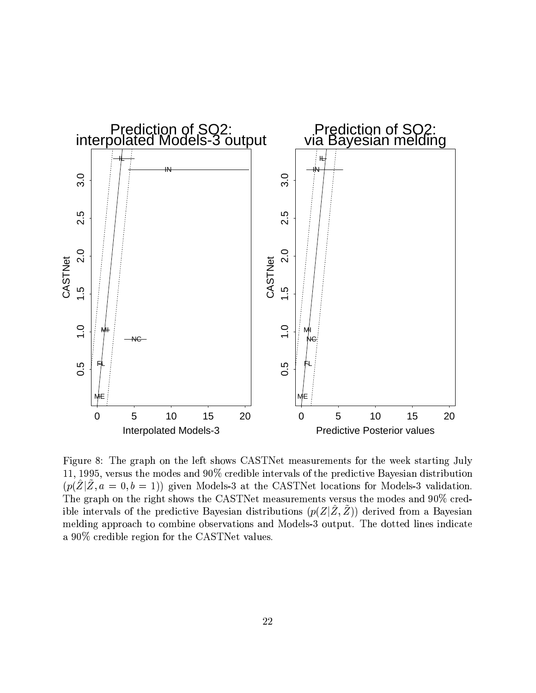

Figure 8: The graph on the left shows CASTNet measurements for the week starting July 11, 1995, versus the modes and 90% credible intervals of the predictive Bayesian distribution  $(p(\hat{Z}|\tilde{Z},a=0,b=1))$  given Models-3 at the CASTNet locations for Models-3 validation. The graph on the right shows the CASTNet measurements versus the modes and 90% credible intervals of the predictive Bayesian distributions  $(p(Z|\tilde{Z},\tilde{Z}))$  derived from a Bayesian melding approach to combine observations and Models-3 output. The dotted lines indicate a 90% credible region for the CASTNet values.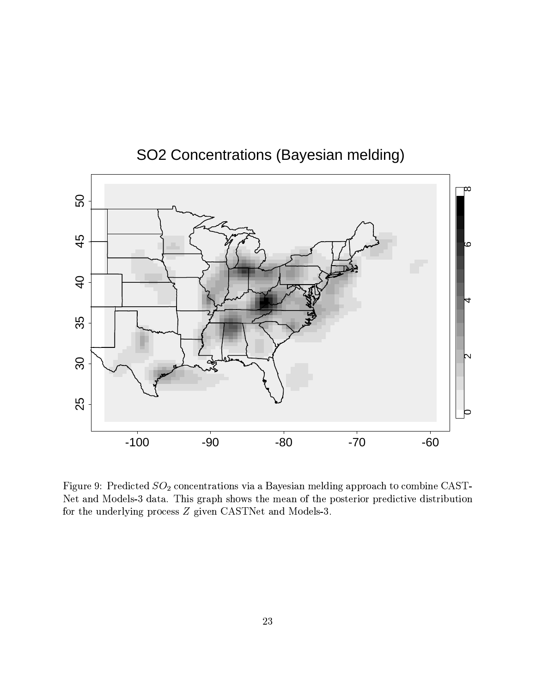

## SO2 Concentrations (Bayesian melding)

Figure 9: Predicted  $SO_2$  concentrations via a Bayesian melding approach to combine CAST-Net and Models-3 data. This graph shows the mean of the posterior predictive distribution for the underlying process Z given CASTNet and Models-3.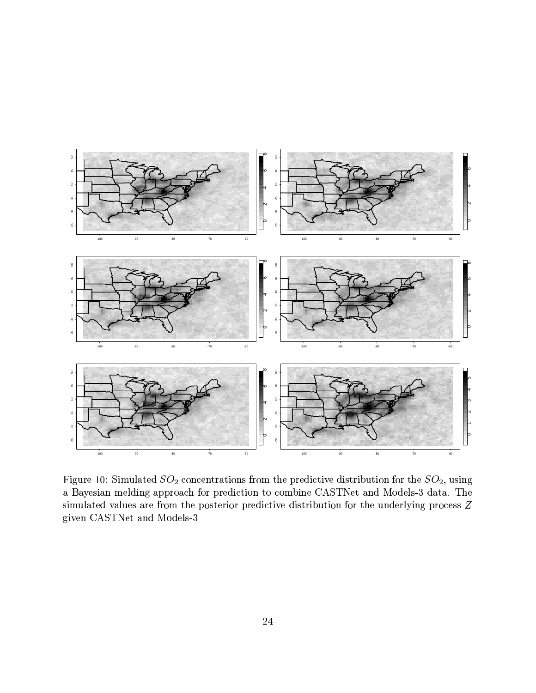

Figure 10: Simulated  $SO_2$  concentrations from the predictive distribution for the  $SO_2$ , using a Bayesian melding approach for prediction to combine CASTNet and Models-3 data. The simulated values are from the posterior predictive distribution for the underlying process Z given CASTNet and Models-3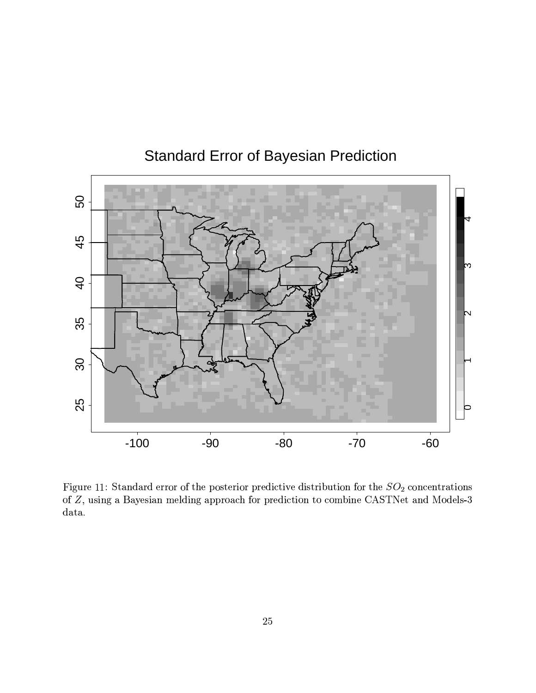

# **Standard Error of Bayesian Prediction**

Figure 11: Standard error of the posterior predictive distribution for the  $SO_2$  concentrations of  $Z$ , using a Bayesian melding approach for prediction to combine CASTNet and Models-3  $data.$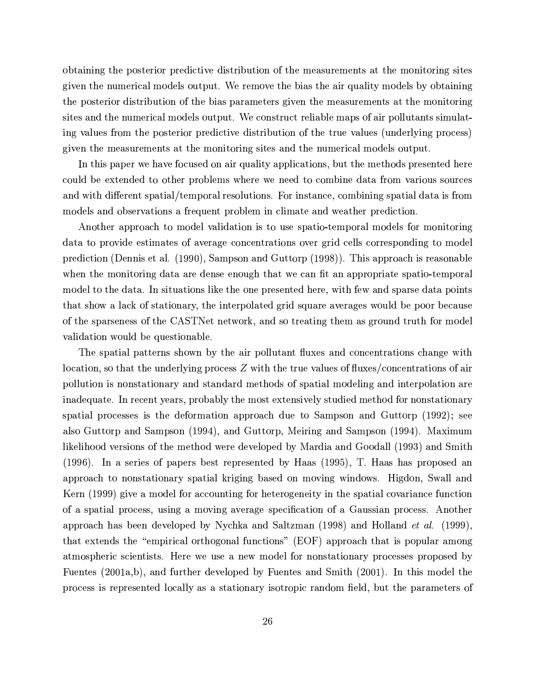obtaining the posterior predictive distribution of the measurements at the monitoring sites given the numerical models output. We remove the bias the air quality models by obtaining the posterior distribution of the bias parameters given the measurements at the monitoring sites and the numerical models output. We construct reliable maps of air pollutants simulating values from the posterior predictive distribution of the true values (underlying process) given the measurements at the monitoring sites and the numerical models output.

In this paper we have focused on air quality applications, but the methods presented here could be extended to other problems where we need to combine data from various sources and with different spatial/temporal resolutions. For instance, combining spatial data is from models and observations a frequent problem in climate and weather prediction.

Another approach to model validation is to use spatio-temporal models for monitoring data to provide estimates of average concentrations over grid cells corresponding to model prediction (Dennis et al. (1990), Sampson and Guttorp (1998)). This approach is reasonable when the monitoring data are dense enough that we can fit an appropriate spatio-temporal model to the data. In situations like the one presented here, with few and sparse data points that show a lack of stationary, the interpolated grid square averages would be poor because of the sparseness of the CASTNet network, and so treating them as ground truth for model validation would be questionable.

The spatial patterns shown by the air pollutant fluxes and concentrations change with location, so that the underlying process  $Z$  with the true values of fluxes/concentrations of air pollution is nonstationary and standard methods of spatial modeling and interpolation are inadequate. In recent years, probably the most extensively studied method for nonstationary spatial processes is the deformation approach due to Sampson and Guttorp (1992); see also Guttorp and Sampson (1994), and Guttorp, Meiring and Sampson (1994). Maximum likelihood versions of the method were developed by Mardia and Goodall (1993) and Smith  $(1996)$ . In a series of papers best represented by Haas  $(1995)$ , T. Haas has proposed an approach to nonstationary spatial kriging based on moving windows. Higdon, Swall and Kern (1999) give a model for accounting for heterogeneity in the spatial covariance function of a spatial process, using a moving average specification of a Gaussian process. Another approach has been developed by Nychka and Saltzman (1998) and Holland *et al.* (1999), that extends the "empirical orthogonal functions" (EOF) approach that is popular among atmospheric scientists. Here we use a new model for nonstationary processes proposed by Fuentes (2001a,b), and further developed by Fuentes and Smith (2001). In this model the process is represented locally as a stationary isotropic random field, but the parameters of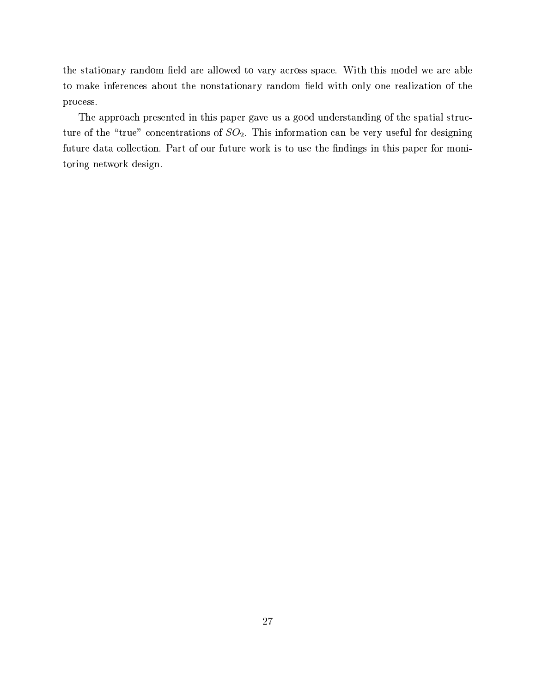the stationary random field are allowed to vary across space. With this model we are able to make inferences about the nonstationary random field with only one realization of the process.

The approach presented in this paper gave us a good understanding of the spatial structure of the "true" concentrations of  $SO_2$ . This information can be very useful for designing future data collection. Part of our future work is to use the findings in this paper for monitoring network design.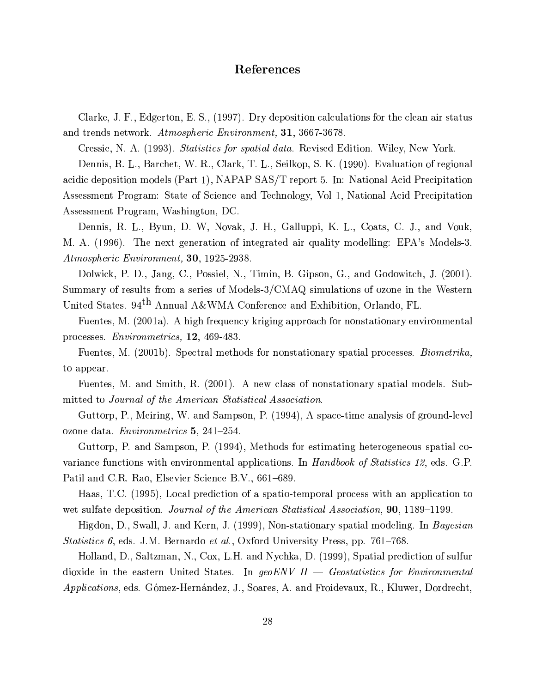## References

Clarke, J. F., Edgerton, E. S., (1997). Dry deposition calculations for the clean air status and trends network. Atmospheric Environment, 31, 3667-3678.

Cressie, N. A. (1993). Statistics for spatial data. Revised Edition. Wiley, New York.

Dennis, R. L., Barchet, W. R., Clark, T. L., Seilkop, S. K. (1990). Evaluation of regional acidic deposition models (Part 1), NAPAP SAS/T report 5. In: National Acid Precipitation Assessment Program: State of Science and Technology, Vol 1, National Acid Precipitation Assessment Program, Washington, DC.

Dennis, R. L., Byun, D. W., Novak, J. H., Galluppi, K. L., Coats, C. J., and Vouk, M. A. (1996). The next generation of integrated air quality modelling: EPA's Models-3. Atmospheric Environment, 30, 1925-2938.

Dolwick, P. D., Jang, C., Possiel, N., Timin, B. Gipson, G., and Godowitch, J. (2001). Summary of results from a series of Models-3/CMAQ simulations of ozone in the Western United States. 94<sup>th</sup> Annual A&WMA Conference and Exhibition, Orlando, FL.

Fuentes, M. (2001a). A high frequency kriging approach for nonstationary environmental processes. *Environmetrics*, 12, 469-483.

Fuentes, M. (2001b). Spectral methods for nonstationary spatial processes. Biometrika. to appear.

Fuentes, M. and Smith, R. (2001). A new class of nonstationary spatial models. Submitted to Journal of the American Statistical Association.

Guttorp, P., Meiring, W. and Sampson, P. (1994), A space-time analysis of ground-level ozone data. *Environmetrics* 5, 241–254.

Guttorp, P. and Sampson, P. (1994), Methods for estimating heterogeneous spatial covariance functions with environmental applications. In *Handbook of Statistics 12*, eds. G.P. Patil and C.R. Rao, Elsevier Science B.V., 661–689.

Haas, T.C. (1995), Local prediction of a spatio-temporal process with an application to wet sulfate deposition. Journal of the American Statistical Association, 90, 1189–1199.

Higdon, D., Swall, J. and Kern, J. (1999), Non-stationary spatial modeling. In *Bayesian Statistics 6, eds. J.M. Bernardo et al., Oxford University Press, pp. 761–768.* 

Holland, D., Saltzman, N., Cox, L.H. and Nychka, D. (1999), Spatial prediction of sulfur dioxide in the eastern United States. In geoENV  $II - Geostatistics$  for Environmental *Applications*, eds. Gómez-Hernández, J., Soares, A. and Froidevaux, R., Kluwer, Dordrecht,